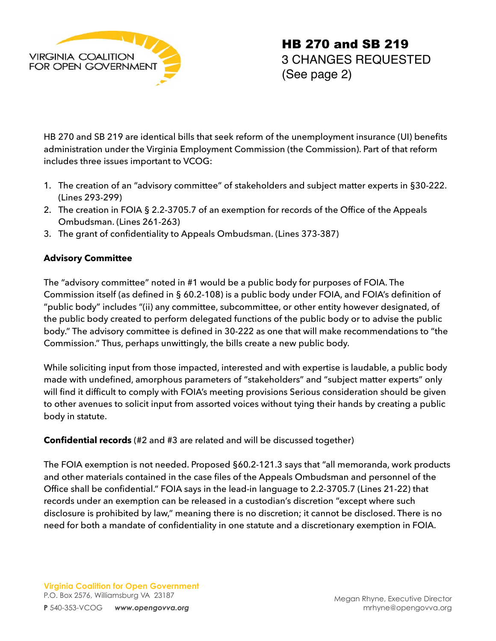

HB 270 and SB 219 are identical bills that seek reform of the unemployment insurance (UI) benefits administration under the Virginia Employment Commission (the Commission). Part of that reform includes three issues important to VCOG:

- 1. The creation of an "advisory committee" of stakeholders and subject matter experts in §30-222. (Lines 293-299)
- 2. The creation in FOIA § 2.2-3705.7 of an exemption for records of the Office of the Appeals Ombudsman. (Lines 261-263)
- 3. The grant of confidentiality to Appeals Ombudsman. (Lines 373-387)

## **Advisory Committee**

The "advisory committee" noted in #1 would be a public body for purposes of FOIA. The Commission itself (as defined in § 60.2-108) is a public body under FOIA, and FOIA's definition of "public body" includes "(ii) any committee, subcommittee, or other entity however designated, of the public body created to perform delegated functions of the public body or to advise the public body." The advisory committee is defined in 30-222 as one that will make recommendations to "the Commission." Thus, perhaps unwittingly, the bills create a new public body.

While soliciting input from those impacted, interested and with expertise is laudable, a public body made with undefined, amorphous parameters of "stakeholders" and "subject matter experts" only will find it difficult to comply with FOIA's meeting provisions Serious consideration should be given to other avenues to solicit input from assorted voices without tying their hands by creating a public body in statute.

## **Confidential records** (#2 and #3 are related and will be discussed together)

The FOIA exemption is not needed. Proposed §60.2-121.3 says that "all memoranda, work products and other materials contained in the case files of the Appeals Ombudsman and personnel of the Office shall be confidential." FOIA says in the lead-in language to 2.2-3705.7 (Lines 21-22) that records under an exemption can be released in a custodian's discretion "except where such disclosure is prohibited by law," meaning there is no discretion; it cannot be disclosed. There is no need for both a mandate of confidentiality in one statute and a discretionary exemption in FOIA.